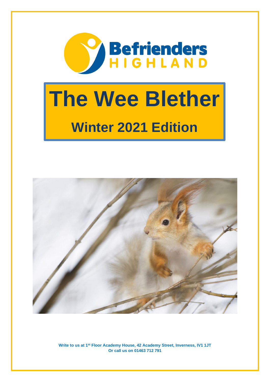

# **The Wee Blether Winter 2021 Edition**

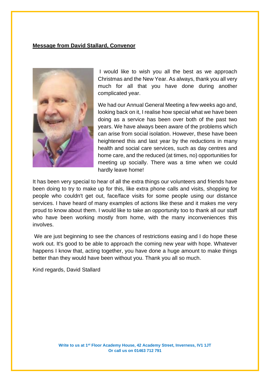### **Message from David Stallard, Convenor**



I would like to wish you all the best as we approach Christmas and the New Year. As always, thank you all very much for all that you have done during another complicated year.

We had our Annual General Meeting a few weeks ago and, looking back on it, I realise how special what we have been doing as a service has been over both of the past two years. We have always been aware of the problems which can arise from social isolation. However, these have been heightened this and last year by the reductions in many health and social care services, such as day centres and home care, and the reduced (at times, no) opportunities for meeting up socially. There was a time when we could hardly leave home!

It has been very special to hear of all the extra things our volunteers and friends have been doing to try to make up for this, like extra phone calls and visits, shopping for people who couldn't get out, face/face visits for some people using our distance services. I have heard of many examples of actions like these and it makes me very proud to know about them. I would like to take an opportunity too to thank all our staff who have been working mostly from home, with the many inconveniences this involves.

We are just beginning to see the chances of restrictions easing and I do hope these work out. It's good to be able to approach the coming new year with hope. Whatever happens I know that, acting together, you have done a huge amount to make things better than they would have been without you. Thank you all so much.

Kind regards, David Stallard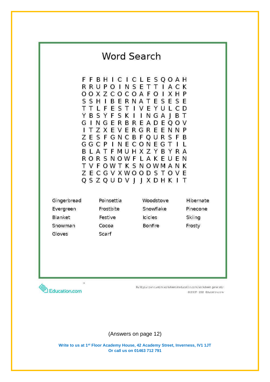

(Answers on page 12)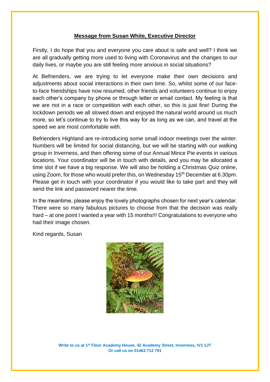### **Message from Susan White, Executive Director**

Firstly, I do hope that you and everyone you care about is safe and well? I think we are all gradually getting more used to living with Coronavirus and the changes to our daily lives, or maybe you are still feeling more anxious in social situations?

At Befrienders, we are trying to let everyone make their own decisions and adjustments about social interactions in their own time. So, whilst some of our faceto-face friendships have now resumed, other friends and volunteers continue to enjoy each other's company by phone or through letter or email contact. My feeling is that we are not in a race or competition with each other, so this is just fine! During the lockdown periods we all slowed down and enjoyed the natural world around us much more, so let's continue to try to live this way for as long as we can, and travel at the speed we are most comfortable with.

Befrienders Highland are re-introducing some small indoor meetings over the winter. Numbers will be limited for social distancing, but we will be starting with our walking group in Inverness, and then offering some of our Annual Mince Pie events in various locations. Your coordinator will be in touch with details, and you may be allocated a time slot if we have a big response. We will also be holding a Christmas Quiz online, using Zoom, for those who would prefer this, on Wednesday 15<sup>th</sup> December at 6.30pm. Please get in touch with your coordinator if you would like to take part and they will send the link and password nearer the time.

In the meantime, please enjoy the lovely photographs chosen for next year's calendar. There were so many fabulous pictures to choose from that the decision was really hard – at one point I wanted a year with 15 months!!! Congratulations to everyone who had their image chosen.

Kind regards, Susan

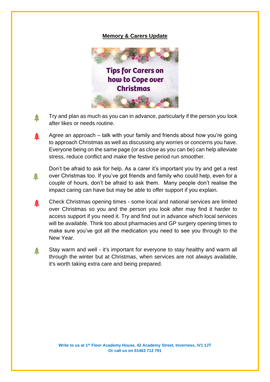### **Memory & Carers Update**



- Try and plan as much as you can in advance, particularly if the person you look 叁 after likes or needs routine.
- Agree an approach talk with your family and friends about how you're going 叁 to approach Christmas as well as discussing any worries or concerns you have. Everyone being on the same page (or as close as you can be) can help alleviate stress, reduce conflict and make the festive period run smoother.
- Don't be afraid to ask for help. As a carer it's important you try and get a rest over Christmas too. If you've got friends and family who could help, even for a 叁 couple of hours, don't be afraid to ask them. Many people don't realise the impact caring can have but may be able to offer support if you explain.
- Check Christmas opening times some local and national services are limited 叁 over Christmas so you and the person you look after may find it harder to access support if you need it. Try and find out in advance which local services will be available. Think too about pharmacies and GP surgery opening times to make sure you've got all the medication you need to see you through to the New Year.
- Stay warm and well it's important for everyone to stay healthy and warm all 叁 through the winter but at Christmas, when services are not always available, it's worth taking extra care and being prepared.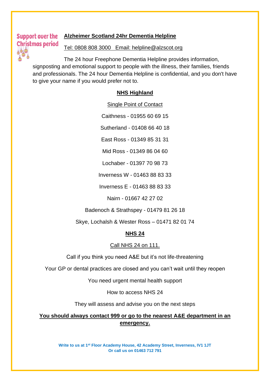#### Support over the **Alzheimer Scotland 24hr Dementia Helpline**

#### **Christmas period** Tel: 0808 808 3000 Email: helpline@alzscot.org

The 24 hour Freephone Dementia Helpline provides information, signposting and emotional support to people with the illness, their families, friends and professionals. The 24 hour Dementia Helpline is confidential, and you don't have to give your name if you would prefer not to.

#### **NHS Highland**

Single Point of Contact

Caithness - 01955 60 69 15

Sutherland - 01408 66 40 18

East Ross - 01349 85 31 31

Mid Ross - 01349 86 04 60

Lochaber - 01397 70 98 73

Inverness W - 01463 88 83 33

Inverness E - 01463 88 83 33

Nairn - 01667 42 27 02

Badenoch & Strathspey - 01479 81 26 18

Skye, Lochalsh & Wester Ross – 01471 82 01 74

## **NHS 24**

#### Call NHS 24 on 111.

Call if you think you need A&E but it's not life-threatening

Your GP or dental practices are closed and you can't wait until they reopen

You need urgent mental health support

How to access NHS 24

They will assess and advise you on the next steps

**You should always contact 999 or go to the nearest A&E department in an emergency.**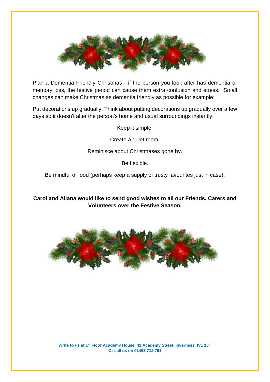

Plan a Dementia Friendly Christmas - if the person you look after has dementia or memory loss, the festive period can cause them extra confusion and stress. Small changes can make Christmas as dementia friendly as possible for example:

Put decorations up gradually. Think about putting decorations up gradually over a few days so it doesn't alter the person's home and usual surroundings instantly.

Keep it simple.

Create a quiet room.

Reminisce about Christmases gone by.

Be flexible.

Be mindful of food (perhaps keep a supply of trusty favourites just in case).

**Carol and Allana would like to send good wishes to all our Friends, Carers and Volunteers over the Festive Season.**

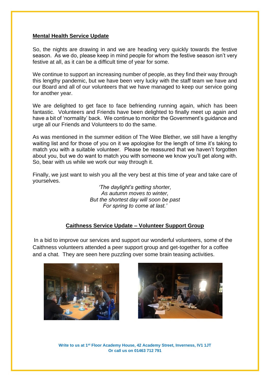#### **Mental Health Service Update**

So, the nights are drawing in and we are heading very quickly towards the festive season. As we do, please keep in mind people for whom the festive season isn't very festive at all, as it can be a difficult time of year for some.

We continue to support an increasing number of people, as they find their way through this lengthy pandemic, but we have been very lucky with the staff team we have and our Board and all of our volunteers that we have managed to keep our service going for another year.

We are delighted to get face to face befriending running again, which has been fantastic. Volunteers and Friends have been delighted to finally meet up again and have a bit of 'normality' back. We continue to monitor the Government's guidance and urge all our Friends and Volunteers to do the same.

As was mentioned in the summer edition of The Wee Blether, we still have a lengthy waiting list and for those of you on it we apologise for the length of time it's taking to match you with a suitable volunteer. Please be reassured that we haven't forgotten about you, but we do want to match you with someone we know you'll get along with. So, bear with us while we work our way through it.

Finally, we just want to wish you all the very best at this time of year and take care of yourselves.

*'The daylight's getting shorter, As autumn moves to winter, But the shortest day will soon be past For spring to come at last.'*

### **Caithness Service Update – Volunteer Support Group**

In a bid to improve our services and support our wonderful volunteers, some of the Caithness volunteers attended a peer support group and get-together for a coffee and a chat. They are seen here puzzling over some brain teasing activities.



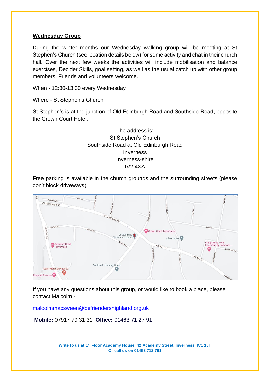#### **Wednesday Group**

During the winter months our Wednesday walking group will be meeting at St Stephen's Church (see location details below) for some activity and chat in their church hall. Over the next few weeks the activities will include mobilisation and balance exercises, Decider Skills, goal setting, as well as the usual catch up with other group members. Friends and volunteers welcome.

When - 12:30-13:30 every Wednesday

Where - St Stephen's Church

St Stephen's is at the junction of Old Edinburgh Road and Southside Road, opposite the Crown Court Hotel.

> The address is: St Stephen's Church Southside Road at Old Edinburgh Road Inverness Inverness-shire IV2 4XA

Free parking is available in the church grounds and the surrounding streets (please don't block driveways).



If you have any questions about this group, or would like to book a place, please contact Malcolm -

[malcolmmacsween@befriendershighland.org.uk](mailto:malcolmmacsween@befriendershighland.org.uk)

**Mobile:** 07917 79 31 31 **Office:** 01463 71 27 91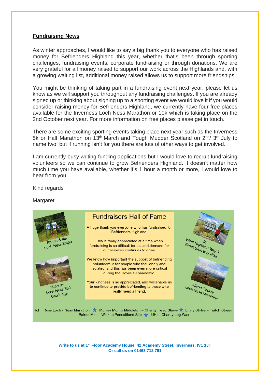#### **Fundraising News**

As winter approaches, I would like to say a big thank you to everyone who has raised money for Befrienders Highland this year, whether that's been through sporting challenges, fundraising events, corporate fundraising or through donations. We are very grateful for all money raised to support our work across the Highlands and, with a growing waiting list, additional money raised allows us to support more friendships.

You might be thinking of taking part in a fundraising event next year, please let us know as we will support you throughout any fundraising challenges. If you are already signed up or thinking about signing up to a sporting event we would love it if you would consider raising money for Befrienders Highland, we currently have four free places available for the Inverness Loch Ness Marathon or 10k which is taking place on the 2nd October next year. For more information on free places please get in touch.

There are some exciting sporting events taking place next year such as the Inverness 5k or Half Marathon on 13<sup>th</sup> March and Tough Mudder Scotland on 2<sup>nd</sup>/3<sup>rd</sup> July to name two, but if running isn't for you there are lots of other ways to get involved.

I am currently busy writing funding applications but I would love to recruit fundraising volunteers so we can continue to grow Befrienders Highland. It doesn't matter how much time you have available, whether it's 1 hour a month or more, I would love to hear from you.

Kind regards

Margaret



Bairds Malt - Walk to Pencaitland Site V UHI - Charity Leg Wax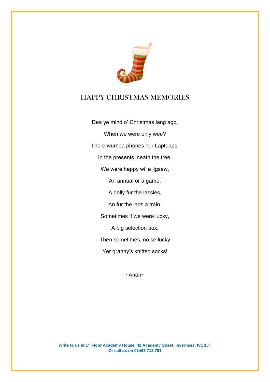

## HAPPY CHRISTMAS MEMORIES

Dea ye mind o' Christmas lang ago, When we were only wee? There wurnea phones nur Laptoaps, In the presents 'neath the tree, We were happy wi' a jigsaw, An annual or a game. A dolly fur the lassies, An fur the lads a train. Sometimes if we were lucky, A big selection box. Then sometimes, no se lucky Yer granny's knitted socks!

~Anon~